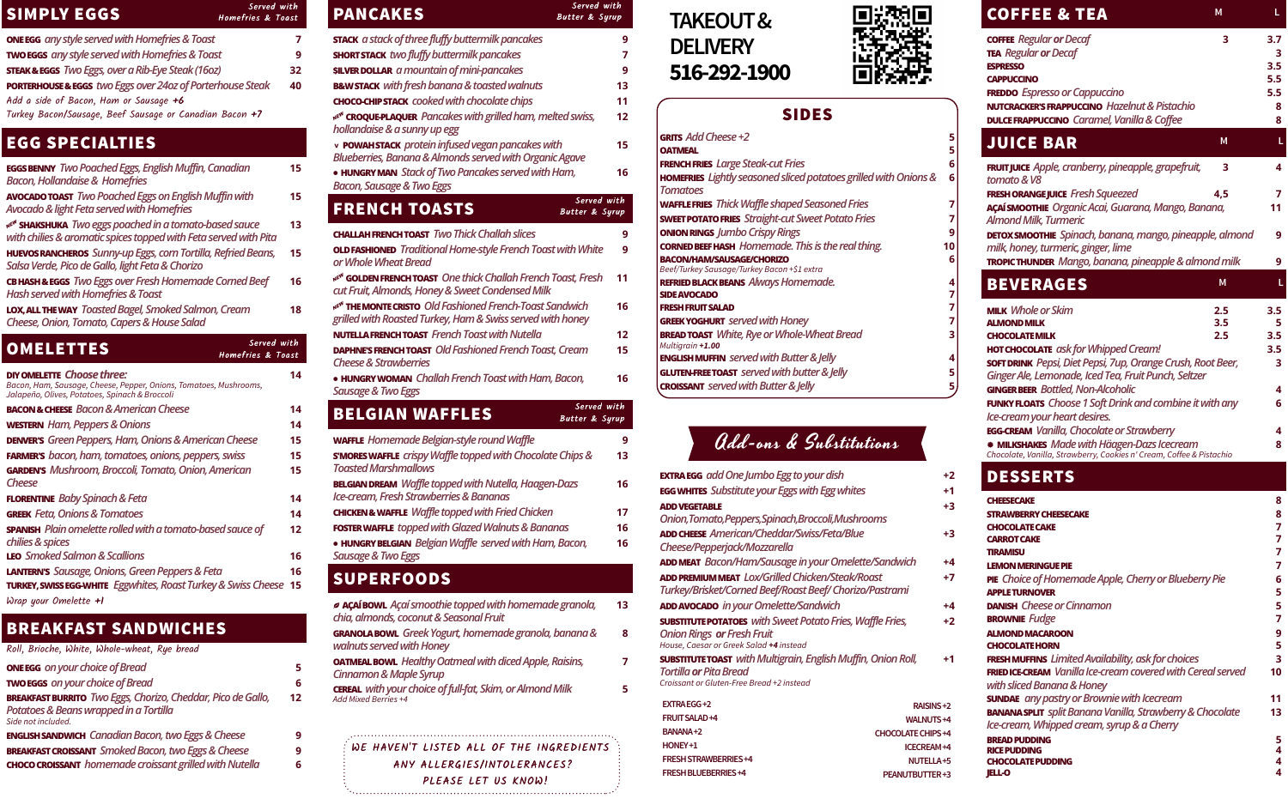## SIMPLY EGGS

| <b>ONE EGG</b> any style served with Homefries & Toast                | 7  |
|-----------------------------------------------------------------------|----|
| TWO EGGS any style served with Homefries & Toast                      | 9  |
| <b>STEAK &amp; EGGS</b> Two Eggs, over a Rib-Eye Steak (16oz)         | 32 |
| <b>PORTERHOUSE &amp; EGGS</b> two Eggs over 24oz of Porterhouse Steak |    |
| Add a side of Bacon, Ham or Sausage $+6$                              |    |
| Turkey Bacon/Sausage, Beef Sausage or Canadian Bacon +7               |    |

# EGG SPECIALTIES

| <b>EGGS BENNY</b> Two Poached Eggs, English Muffin, Canadian<br><b>Bacon, Hollandaise &amp; Homefries</b>                              | 15 |
|----------------------------------------------------------------------------------------------------------------------------------------|----|
| <b>AVOCADO TOAST</b> Two Poached Eggs on English Muffin with<br>Avocado & light Feta served with Homefries                             | 15 |
| NE <sup>N</sup> SHAKSHUKA Two eggs poached in a tomato-based sauce<br>with chilies & aromatic spices topped with Feta served with Pita | 13 |
| HUEVOS RANCHEROS Sunny-up Eggs, corn Tortilla, Refried Beans,<br>Salsa Verde, Pico de Gallo, light Feta & Chorizo                      | 15 |
| <b>CB HASH &amp; EGGS</b> Two Eggs over Fresh Homemade Corned Beef<br><b>Hash served with Homefries &amp; Toast</b>                    | 16 |
| LOX, ALL THE WAY Toasted Bagel, Smoked Salmon, Cream<br>Cheese, Onion, Tomato, Capers & House Salad                                    | 18 |

## BREAKFAST SANDWICHES

| 5. |
|----|
| 6  |
| 12 |
| q  |
| 6  |
|    |

| Served with<br><b>OMELETTES</b><br><b>Homefries &amp; Toast</b>                                                                                          |    |
|----------------------------------------------------------------------------------------------------------------------------------------------------------|----|
| <b>DIY OMELETTE Choose three:</b><br>Bacon, Ham, Sausage, Cheese, Pepper, Onions, Tomatoes, Mushrooms,<br>Jalapeño, Olives, Potatoes, Spinach & Broccoli | 14 |
| <b>BACON &amp; CHEESE</b> Bacon & American Cheese                                                                                                        | 14 |
| <b>WESTERN</b> Ham, Peppers & Onions                                                                                                                     | 14 |
| <b>DENVER'S</b> Green Peppers, Ham, Onions & American Cheese                                                                                             | 15 |
| <b>FARMER'S</b> bacon, ham, tomatoes, onions, peppers, swiss                                                                                             | 15 |
| GARDEN'S Mushroom, Broccoli, Tomato, Onion, American<br>Cheese                                                                                           | 15 |
| <b>FLORENTINE</b> Baby Spinach & Feta                                                                                                                    | 14 |
| <b>GREEK</b> Feta, Onions & Tomatoes                                                                                                                     | 14 |
| <b>SPANISH</b> Plain omelette rolled with a tomato-based sauce of<br>chilies & spices                                                                    | 12 |
| <b>LEO</b> Smoked Salmon & Scallions                                                                                                                     | 16 |
| <b>LANTERN'S</b> Sausage, Onions, Green Peppers & Feta                                                                                                   | 16 |
| <b>TURKEY, SWISS EGG-WHITE</b> Eggwhites, Roast Turkey & Swiss Cheese                                                                                    | 15 |
| Wrap your Omelette +1                                                                                                                                    |    |

| GRITS Add Cheese +2<br>5<br>5<br><b>OATMEAL</b><br><b>FRENCH FRIES</b> Large Steak-cut Fries<br>6<br>HOMEFRIES Lightly seasoned sliced potatoes grilled with Onions &<br>6<br><b>Tomatoes</b><br><b>WAFFLE FRIES</b> Thick Waffle shaped Seasoned Fries<br>7<br><b>SWEET POTATO FRIES</b> Straight-cut Sweet Potato Fries<br>7<br><b>ONION RINGS</b> Jumbo Crispy Rings<br>9<br><b>CORNED BEEF HASH</b> Homemade. This is the real thing.<br>10<br>6<br><b>BACON/HAM/SAUSAGE/CHORIZO</b><br>Beef/Turkey Sausage/Turkey Bacon +\$1 extra<br><b>REFRIED BLACK BEANS</b> Always Homemade.<br>4<br>7<br><b>SIDE AVOCADO</b><br>7<br><b>FRESH FRUIT SALAD</b><br><b>GREEK YOGHURT</b> served with Honey<br>7<br><b>BREAD TOAST</b> White, Rye or Whole-Wheat Bread<br>3<br>Multigrain +1.00<br><b>ENGLISH MUFFIN</b> served with Butter & Jelly<br>4<br><b>GLUTEN-FREE TOAST</b> served with butter & Jelly<br>5<br><b>CROISSANT</b> served with Butter & Jelly |   |
|------------------------------------------------------------------------------------------------------------------------------------------------------------------------------------------------------------------------------------------------------------------------------------------------------------------------------------------------------------------------------------------------------------------------------------------------------------------------------------------------------------------------------------------------------------------------------------------------------------------------------------------------------------------------------------------------------------------------------------------------------------------------------------------------------------------------------------------------------------------------------------------------------------------------------------------------------------|---|
|                                                                                                                                                                                                                                                                                                                                                                                                                                                                                                                                                                                                                                                                                                                                                                                                                                                                                                                                                            |   |
|                                                                                                                                                                                                                                                                                                                                                                                                                                                                                                                                                                                                                                                                                                                                                                                                                                                                                                                                                            |   |
|                                                                                                                                                                                                                                                                                                                                                                                                                                                                                                                                                                                                                                                                                                                                                                                                                                                                                                                                                            |   |
|                                                                                                                                                                                                                                                                                                                                                                                                                                                                                                                                                                                                                                                                                                                                                                                                                                                                                                                                                            |   |
|                                                                                                                                                                                                                                                                                                                                                                                                                                                                                                                                                                                                                                                                                                                                                                                                                                                                                                                                                            |   |
|                                                                                                                                                                                                                                                                                                                                                                                                                                                                                                                                                                                                                                                                                                                                                                                                                                                                                                                                                            |   |
|                                                                                                                                                                                                                                                                                                                                                                                                                                                                                                                                                                                                                                                                                                                                                                                                                                                                                                                                                            |   |
|                                                                                                                                                                                                                                                                                                                                                                                                                                                                                                                                                                                                                                                                                                                                                                                                                                                                                                                                                            |   |
|                                                                                                                                                                                                                                                                                                                                                                                                                                                                                                                                                                                                                                                                                                                                                                                                                                                                                                                                                            |   |
|                                                                                                                                                                                                                                                                                                                                                                                                                                                                                                                                                                                                                                                                                                                                                                                                                                                                                                                                                            |   |
|                                                                                                                                                                                                                                                                                                                                                                                                                                                                                                                                                                                                                                                                                                                                                                                                                                                                                                                                                            |   |
|                                                                                                                                                                                                                                                                                                                                                                                                                                                                                                                                                                                                                                                                                                                                                                                                                                                                                                                                                            |   |
|                                                                                                                                                                                                                                                                                                                                                                                                                                                                                                                                                                                                                                                                                                                                                                                                                                                                                                                                                            |   |
|                                                                                                                                                                                                                                                                                                                                                                                                                                                                                                                                                                                                                                                                                                                                                                                                                                                                                                                                                            |   |
|                                                                                                                                                                                                                                                                                                                                                                                                                                                                                                                                                                                                                                                                                                                                                                                                                                                                                                                                                            |   |
|                                                                                                                                                                                                                                                                                                                                                                                                                                                                                                                                                                                                                                                                                                                                                                                                                                                                                                                                                            |   |
|                                                                                                                                                                                                                                                                                                                                                                                                                                                                                                                                                                                                                                                                                                                                                                                                                                                                                                                                                            |   |
|                                                                                                                                                                                                                                                                                                                                                                                                                                                                                                                                                                                                                                                                                                                                                                                                                                                                                                                                                            |   |
|                                                                                                                                                                                                                                                                                                                                                                                                                                                                                                                                                                                                                                                                                                                                                                                                                                                                                                                                                            |   |
|                                                                                                                                                                                                                                                                                                                                                                                                                                                                                                                                                                                                                                                                                                                                                                                                                                                                                                                                                            | 5 |

| Served with<br><b>PANCAKES</b><br><b>Butter &amp; Syrup</b>                                                                        |    |
|------------------------------------------------------------------------------------------------------------------------------------|----|
| <b>STACK</b> a stack of three fluffy buttermilk pancakes                                                                           | 9  |
| <b>SHORT STACK</b> two fluffy buttermilk pancakes                                                                                  | 7  |
| <b>SILVER DOLLAR</b> a mountain of mini-pancakes                                                                                   | 9  |
| <b>B&amp;W STACK</b> with fresh banana & toasted walnuts                                                                           | 13 |
| <b>CHOCO-CHIP STACK</b> cooked with chocolate chips                                                                                | 11 |
| NE <sup>NI</sup> CROQUE-PLAQUER Pancakes with grilled ham, melted swiss,                                                           | 12 |
| hollandaise & a sunny up egg                                                                                                       |    |
| v POWAH STACK protein infused vegan pancakes with<br>Blueberries, Banana & Almonds served with Organic Agave                       | 15 |
| • HUNGRY MAN Stack of Two Pancakes served with Ham,                                                                                | 16 |
| <b>Bacon, Sausage &amp; Two Eggs</b>                                                                                               |    |
| Served with<br><b>FRENCH TOASTS</b><br><b>Butter &amp; Syrup</b>                                                                   |    |
| <b>CHALLAH FRENCH TOAST</b> Two Thick Challah slices                                                                               | 9  |
| <b>OLD FASHIONED</b> Traditional Home-style French Toast with White<br>or Whole Wheat Bread                                        | 9  |
| NEVI GOLDEN FRENCH TOAST One thick Challah French Toast, Fresh<br>cut Fruit, Almonds, Honey & Sweet Condensed Milk                 | 11 |
| NE <sup>N</sup> THE MONTE CRISTO Old Fashioned French-Toast Sandwich<br>grilled with Roasted Turkey, Ham & Swiss served with honey | 16 |
| <b>NUTELLA FRENCH TOAST</b> French Toast with Nutella                                                                              | 12 |
| <b>DAPHNE'S FRENCH TOAST Old Fashioned French Toast, Cream</b><br><b>Cheese &amp; Strawberries</b>                                 | 15 |
| • HUNGRY WOMAN Challah French Toast with Ham, Bacon,<br>Sausage & Two Eggs                                                         | 16 |
| Served with<br><b>BELGIAN WAFFLES</b><br><b>Butter &amp; Syrup</b>                                                                 |    |
| <b>WAFFLE</b> Homemade Belgian-style round Waffle                                                                                  | 9  |
| <b>S'MORES WAFFLE</b> crispy Waffle topped with Chocolate Chips &<br><b>Toasted Marshmallows</b>                                   | 13 |
| <b>BELGIAN DREAM</b> Waffle topped with Nutella, Haagen-Dazs<br>Ice-cream, Fresh Strawberries & Bananas                            | 16 |
| <b>CHICKEN &amp; WAFFLE</b> Waffle topped with Fried Chicken                                                                       | 17 |
| <b>FOSTER WAFFLE</b> topped with Glazed Walnuts & Bananas                                                                          | 16 |
| • HUNGRY BELGIAN Belgian Waffle served with Ham, Bacon,<br><b>Sausage &amp; Two Eggs</b>                                           | 16 |
| <b>SUPERFOODS</b>                                                                                                                  |    |
| <b>ACAÍ BOWL</b> Açaí smoothie topped with homemade granola,<br>chia, almonds, coconut & Seasonal Fruit                            | 13 |
| GRANOLA BOWL Greek Yogurt, homemade granola, banana &<br>walnuts served with Honey                                                 | 8  |
| <b>OATMEAL BOWL</b> Healthy Oatmeal with diced Apple, Raisins,<br><b>Cinnamon &amp; Maple Syrup</b>                                | 7  |
| <b>CEREAL</b> with your choice of full-fat, Skim, or Almond Milk<br>Add Mixed Berries +4                                           | 5  |
|                                                                                                                                    |    |

| <b>TAKEOUT&amp;</b>                                                                                                              |                          | <b>COFFEE &amp; TEA</b><br>M                                                                                        | L.     |
|----------------------------------------------------------------------------------------------------------------------------------|--------------------------|---------------------------------------------------------------------------------------------------------------------|--------|
|                                                                                                                                  |                          | <b>COFFEE</b> Regular or Decaf<br>3                                                                                 | 3.7    |
| <b>DELIVERY</b>                                                                                                                  |                          | <b>TEA</b> Regular or Decaf                                                                                         | 3      |
|                                                                                                                                  |                          | <b>ESPRESSO</b>                                                                                                     | 3.5    |
| 516-292-1900                                                                                                                     |                          | <b>CAPPUCCINO</b>                                                                                                   | 5.5    |
|                                                                                                                                  |                          | <b>FREDDO</b> Espresso or Cappuccino                                                                                | 5.5    |
|                                                                                                                                  |                          | <b>NUTCRACKER'S FRAPPUCCINO Hazelnut &amp; Pistachio</b>                                                            | 8      |
| <b>SIDES</b>                                                                                                                     |                          | <b>DULCE FRAPPUCCINO</b> Caramel, Vanilla & Coffee                                                                  | 8      |
| GRITS Add Cheese +2                                                                                                              | 5                        | M<br><b>JUICE BAR</b>                                                                                               |        |
| <b>OATMEAL</b>                                                                                                                   |                          |                                                                                                                     |        |
| <b>FRENCH FRIES</b> Large Steak-cut Fries<br>HOMEFRIES Lightly seasoned sliced potatoes grilled with Onions &<br><b>Tomatoes</b> | 6                        | FRUIT JUICE Apple, cranberry, pineapple, grapefruit,<br>3<br>tomato & V8                                            | 4      |
| <b>WAFFLE FRIES</b> Thick Waffle shaped Seasoned Fries                                                                           |                          | FRESH ORANGE JUICE Fresh Squeezed<br>4,5                                                                            | 7      |
| <b>SWEET POTATO FRIES</b> Straight-cut Sweet Potato Fries                                                                        |                          | <b>AÇAÍ SMOOTHIE</b> Organic Acai, Guarana, Mango, Banana,<br><b>Almond Milk, Turmeric</b>                          | 11     |
| <b>ONION RINGS</b> Jumbo Crispy Rings                                                                                            | 9                        | <b>DETOX SMOOTHIE</b> Spinach, banana, mango, pineapple, almond                                                     | 9      |
| <b>CORNED BEEF HASH</b> Homemade. This is the real thing.                                                                        | 10                       | milk, honey, turmeric, ginger, lime                                                                                 |        |
| <b>BACON/HAM/SAUSAGE/CHORIZO</b>                                                                                                 | 6                        | TROPIC THUNDER Mango, banana, pineapple & almond milk                                                               | 9      |
| Beef/Turkey Sausage/Turkey Bacon +\$1 extra                                                                                      |                          |                                                                                                                     |        |
| <b>REFRIED BLACK BEANS</b> Always Homemade.<br><b>SIDE AVOCADO</b>                                                               |                          | <b>BEVERAGES</b><br>M                                                                                               | L      |
| <b>FRESH FRUIT SALAD</b>                                                                                                         |                          |                                                                                                                     |        |
| <b>GREEK YOGHURT</b> served with Honey                                                                                           |                          | <b>MILK</b> Whole or Skim<br>$2.5\phantom{0}$<br>3.5<br><b>ALMOND MILK</b>                                          | 3.5    |
| <b>BREAD TOAST</b> White, Rye or Whole-Wheat Bread                                                                               |                          | 2.5<br><b>CHOCOLATE MILK</b>                                                                                        | 3.5    |
| Multigrain +1.00                                                                                                                 |                          | <b>HOT CHOCOLATE</b> ask for Whipped Cream!                                                                         | 3.5    |
| <b>ENGLISH MUFFIN</b> served with Butter & Jelly                                                                                 |                          | <b>SOFT DRINK</b> Pepsi, Diet Pepsi, 7up, Orange Crush, Root Beer,                                                  | 3      |
| <b>GLUTEN-FREE TOAST</b> served with butter & Jelly                                                                              |                          | Ginger Ale, Lemonade, Iced Tea, Fruit Punch, Seltzer                                                                |        |
| <b>CROISSANT</b> served with Butter & Jelly                                                                                      |                          | <b>GINGER BEER</b> Bottled, Non-Alcoholic                                                                           | 4      |
|                                                                                                                                  |                          | <b>FUNKY FLOATS</b> Choose 1 Soft Drink and combine it with any                                                     | 6      |
|                                                                                                                                  |                          | Ice-cream your heart desires.                                                                                       |        |
|                                                                                                                                  |                          | <b>EGG-CREAM Vanilla, Chocolate or Strawberry</b>                                                                   | 4      |
| add-ons & Substitutions                                                                                                          |                          | * MILKSHAKES Made with Häagen-Dazs Icecream<br>Chocolate, Vanilla, Strawberry, Cookies n' Cream, Coffee & Pistachio | 8      |
| <b>EXTRAEGG</b> add One Jumbo Egg to your dish                                                                                   | +2                       | <b>DESSERTS</b>                                                                                                     |        |
| <b>EGG WHITES</b> Substitute your Eggs with Egg whites                                                                           | +1                       |                                                                                                                     |        |
| <b>ADD VEGETABLE</b>                                                                                                             | $+3$                     | <b>CHEESECAKE</b>                                                                                                   | 8      |
| Onion, Tomato, Peppers, Spinach, Broccoli, Mushrooms                                                                             |                          | <b>STRAWBERRY CHEESECAKE</b><br><b>CHOCOLATE CAKE</b>                                                               | 8<br>7 |
| <b>ADD CHEESE</b> American/Cheddar/Swiss/Feta/Blue                                                                               | $+3$                     | <b>CARROT CAKE</b>                                                                                                  | 7      |
| Cheese/Pepperjack/Mozzarella                                                                                                     |                          | <b>TIRAMISU</b>                                                                                                     | 7      |
| <b>ADD MEAT</b> Bacon/Ham/Sausage in your Omelette/Sandwich                                                                      | +4                       | <b>LEMON MERINGUE PIE</b>                                                                                           | 7      |
| <b>ADD PREMIUM MEAT</b> Lox/Grilled Chicken/Steak/Roast                                                                          | $+7$                     | PIE Choice of Homemade Apple, Cherry or Blueberry Pie                                                               | 6      |
| Turkey/Brisket/Corned Beef/Roast Beef/ Chorizo/Pastrami                                                                          |                          | <b>APPLE TURNOVER</b>                                                                                               | 5      |
| ADD AVOCADO in your Omelette/Sandwich                                                                                            | +4                       | <b>DANISH</b> Cheese or Cinnamon                                                                                    | 5      |
| <b>SUBSTITUTE POTATOES</b> with Sweet Potato Fries, Waffle Fries,                                                                | $+2$                     | <b>BROWNIE</b> Fudge                                                                                                | 7      |
| <b>Onion Rings or Fresh Fruit</b>                                                                                                |                          | <b>ALMOND MACAROON</b>                                                                                              | 9      |
| House, Caesar or Greek Salad +4 instead                                                                                          |                          | <b>CHOCOLATE HORN</b>                                                                                               | 5      |
| <b>SUBSTITUTE TOAST</b> with Multigrain, English Muffin, Onion Roll,                                                             | $+1$                     | <b>FRESH MUFFINS</b> Limited Availability, ask for choices                                                          | 3      |
| <b>Tortilla or Pita Bread</b><br>Croissant or Gluten-Free Bread +2 instead                                                       |                          | <b>FRIED ICE-CREAM</b> Vanilla Ice-cream covered with Cereal served<br>with sliced Banana & Honey                   | 10     |
| <b>EXTRAEGG+2</b>                                                                                                                | RAISINS+2                | <b>SUNDAE</b> any pastry or Brownie with Icecream                                                                   | 11     |
| <b>FRUIT SALAD+4</b>                                                                                                             | <b>WALNUTS+4</b>         | <b>BANANA SPLIT</b> split Banana Vanilla, Strawberry & Chocolate<br>Ice-cream, Whipped cream, syrup & a Cherry      | 13     |
| BANANA+2                                                                                                                         | <b>CHOCOLATE CHIPS+4</b> |                                                                                                                     |        |
| HONEY+1                                                                                                                          | ICECREAM+4               | <b>BREAD PUDDING</b><br><b>RICE PUDDING</b>                                                                         | 5<br>4 |
| <b>FRESH STRAWBERRIES+4</b>                                                                                                      | NUTELLA+5                | <b>CHOCOLATE PUDDING</b>                                                                                            | 4      |
| FRESH BLUEBERRIES+4                                                                                                              | PEANUTBUTTER+3           | <b>JELL-O</b>                                                                                                       | 4      |

WE HAVEN'T LISTED ALL OF THE INGREDIENTS ANY ALLERGIES/INTOLERANCES? PLEASE LET US KNOW!



Served with Homefries & Toast